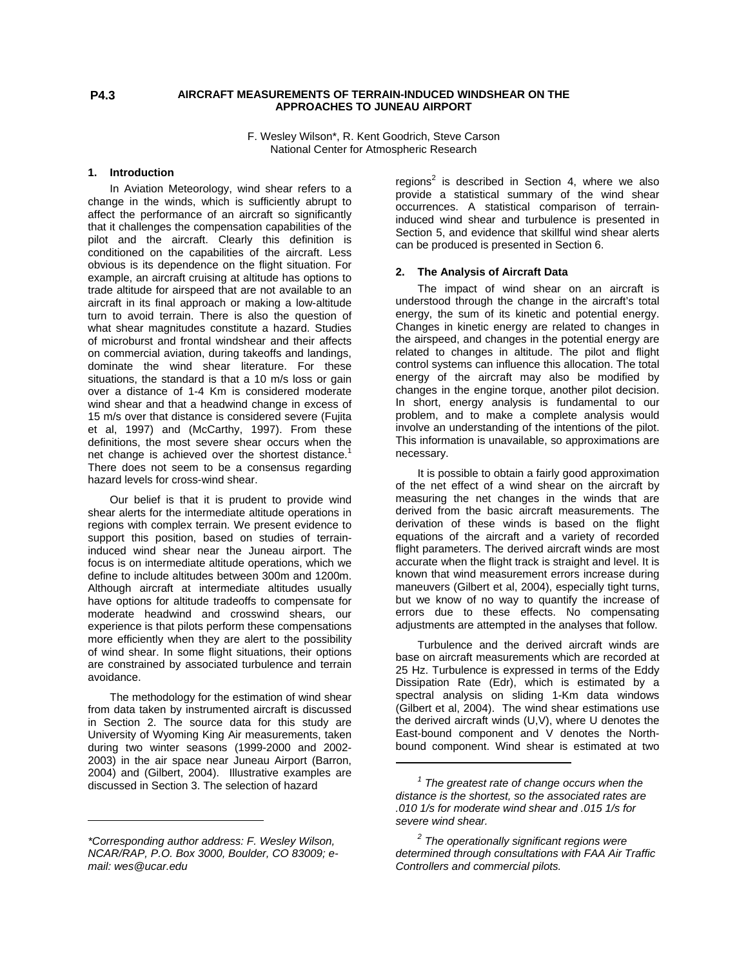## **AIRCRAFT MEASUREMENTS OF TERRAIN-INDUCED WINDSHEAR ON THE APPROACHES TO JUNEAU AIRPORT**

F. Wesley Wilson\*, R. Kent Goodrich, Steve Carson National Center for Atmospheric Research

#### **1. Introduction**

In Aviation Meteorology, wind shear refers to a change in the winds, which is sufficiently abrupt to affect the performance of an aircraft so significantly that it challenges the compensation capabilities of the pilot and the aircraft. Clearly this definition is conditioned on the capabilities of the aircraft. Less obvious is its dependence on the flight situation. For example, an aircraft cruising at altitude has options to trade altitude for airspeed that are not available to an aircraft in its final approach or making a low-altitude turn to avoid terrain. There is also the question of what shear magnitudes constitute a hazard. Studies of microburst and frontal windshear and their affects on commercial aviation, during takeoffs and landings, dominate the wind shear literature. For these situations, the standard is that a 10 m/s loss or gain over a distance of 1-4 Km is considered moderate wind shear and that a headwind change in excess of 15 m/s over that distance is considered severe (Fujita et al, 1997) and (McCarthy, 1997). From these definitions, the most severe shear occurs when the net change is achieved over the shortest distance.<sup>1</sup> There does not seem to be a consensus regarding hazard levels for cross-wind shear.

Our belief is that it is prudent to provide wind shear alerts for the intermediate altitude operations in regions with complex terrain. We present evidence to support this position, based on studies of terraininduced wind shear near the Juneau airport. The focus is on intermediate altitude operations, which we define to include altitudes between 300m and 1200m. Although aircraft at intermediate altitudes usually have options for altitude tradeoffs to compensate for moderate headwind and crosswind shears, our experience is that pilots perform these compensations more efficiently when they are alert to the possibility of wind shear. In some flight situations, their options are constrained by associated turbulence and terrain avoidance.

The methodology for the estimation of wind shear from data taken by instrumented aircraft is discussed in Section 2. The source data for this study are University of Wyoming King Air measurements, taken during two winter seasons (1999-2000 and 2002- 2003) in the air space near Juneau Airport (Barron, 2004) and (Gilbert, 2004). Illustrative examples are discussed in Section 3. The selection of hazard

 $\overline{a}$ 

regions<sup>2</sup> is described in Section 4, where we also provide a statistical summary of the wind shear occurrences. A statistical comparison of terraininduced wind shear and turbulence is presented in Section 5, and evidence that skillful wind shear alerts can be produced is presented in Section 6.

#### **2. The Analysis of Aircraft Data**

The impact of wind shear on an aircraft is understood through the change in the aircraft's total energy, the sum of its kinetic and potential energy. Changes in kinetic energy are related to changes in the airspeed, and changes in the potential energy are related to changes in altitude. The pilot and flight control systems can influence this allocation. The total energy of the aircraft may also be modified by changes in the engine torque, another pilot decision. In short, energy analysis is fundamental to our problem, and to make a complete analysis would involve an understanding of the intentions of the pilot. This information is unavailable, so approximations are necessary.

It is possible to obtain a fairly good approximation of the net effect of a wind shear on the aircraft by measuring the net changes in the winds that are derived from the basic aircraft measurements. The derivation of these winds is based on the flight equations of the aircraft and a variety of recorded flight parameters. The derived aircraft winds are most accurate when the flight track is straight and level. It is known that wind measurement errors increase during maneuvers (Gilbert et al, 2004), especially tight turns, but we know of no way to quantify the increase of errors due to these effects. No compensating adjustments are attempted in the analyses that follow.

Turbulence and the derived aircraft winds are base on aircraft measurements which are recorded at 25 Hz. Turbulence is expressed in terms of the Eddy Dissipation Rate (Edr), which is estimated by a spectral analysis on sliding 1-Km data windows (Gilbert et al, 2004). The wind shear estimations use the derived aircraft winds (U,V), where U denotes the East-bound component and V denotes the Northbound component. Wind shear is estimated at two

 $\overline{a}$ 

**P4.3** 

*<sup>\*</sup>Corresponding author address: F. Wesley Wilson, NCAR/RAP, P.O. Box 3000, Boulder, CO 83009; email: wes@ucar.edu* 

*<sup>1</sup> The greatest rate of change occurs when the distance is the shortest, so the associated rates are .010 1/s for moderate wind shear and .015 1/s for severe wind shear.* 

*<sup>2</sup> The operationally significant regions were determined through consultations with FAA Air Traffic Controllers and commercial pilots.*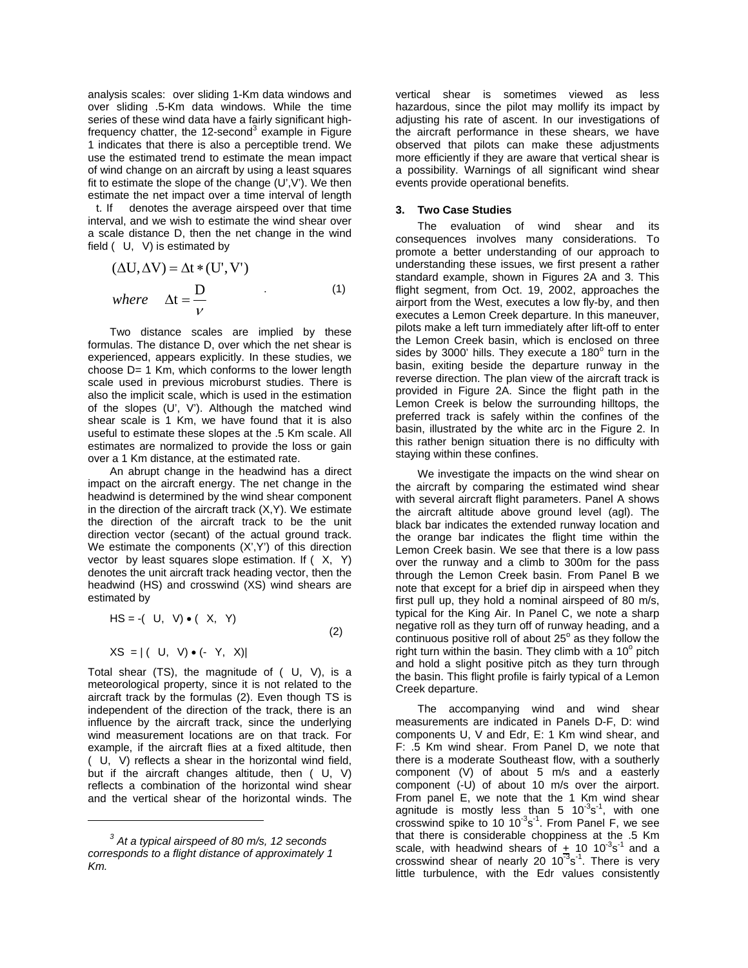analysis scales: over sliding 1-Km data windows and over sliding .5-Km data windows. While the time series of these wind data have a fairly significant highfrequency chatter, the 12-second<sup>3</sup> example in Figure 1 indicates that there is also a perceptible trend. We use the estimated trend to estimate the mean impact of wind change on an aircraft by using a least squares fit to estimate the slope of the change  $(U',V')$ . We then estimate the net impact over a time interval of length<br>t. If denotes the average airspeed over that time

denotes the average airspeed over that time interval, and we wish to estimate the wind shear over a scale distance D, then the net change in the wind field  $(U, V)$  is estimated by

$$
(\Delta U, \Delta V) = \Delta t * (U', V')
$$
  
where  $\Delta t = \frac{D}{V}$  (1)

Two distance scales are implied by these formulas. The distance D, over which the net shear is experienced, appears explicitly. In these studies, we choose D= 1 Km, which conforms to the lower length scale used in previous microburst studies. There is also the implicit scale, which is used in the estimation of the slopes (U', V'). Although the matched wind shear scale is 1 Km, we have found that it is also useful to estimate these slopes at the .5 Km scale. All estimates are normalized to provide the loss or gain over a 1 Km distance, at the estimated rate.

An abrupt change in the headwind has a direct impact on the aircraft energy. The net change in the headwind is determined by the wind shear component in the direction of the aircraft track  $(X, Y)$ . We estimate the direction of the aircraft track to be the unit direction vector (secant) of the actual ground track. We estimate the components  $(X', Y')$  of this direction vector by least squares slope estimation. If  $(X, Y)$ denotes the unit aircraft track heading vector, then the headwind (HS) and crosswind (XS) wind shears are estimated by

$$
HS = -(U, V) \bullet (X, Y)
$$
  
 
$$
XS = | (U, V) \bullet (-Y, X) |
$$
 (2)

Total shear  $(TS)$ , the magnitude of  $(U, V)$ , is a meteorological property, since it is not related to the aircraft track by the formulas (2). Even though TS is independent of the direction of the track, there is an influence by the aircraft track, since the underlying wind measurement locations are on that track. For example, if the aircraft flies at a fixed altitude, then (U,V) reflects a shear in the horizontal wind field, but if the aircraft changes altitude, then  $(U, V)$ reflects a combination of the horizontal wind shear and the vertical shear of the horizontal winds. The

 $\overline{a}$ 

vertical shear is sometimes viewed as less hazardous, since the pilot may mollify its impact by adjusting his rate of ascent. In our investigations of the aircraft performance in these shears, we have observed that pilots can make these adjustments more efficiently if they are aware that vertical shear is a possibility. Warnings of all significant wind shear events provide operational benefits.

#### **3. Two Case Studies**

The evaluation of wind shear and its consequences involves many considerations. To promote a better understanding of our approach to understanding these issues, we first present a rather standard example, shown in Figures 2A and 3. This flight segment, from Oct. 19, 2002, approaches the airport from the West, executes a low fly-by, and then executes a Lemon Creek departure. In this maneuver, pilots make a left turn immediately after lift-off to enter the Lemon Creek basin, which is enclosed on three sides by 3000' hills. They execute a 180 $^{\circ}$  turn in the basin, exiting beside the departure runway in the reverse direction. The plan view of the aircraft track is provided in Figure 2A. Since the flight path in the Lemon Creek is below the surrounding hilltops, the preferred track is safely within the confines of the basin, illustrated by the white arc in the Figure 2. In this rather benign situation there is no difficulty with staying within these confines.

We investigate the impacts on the wind shear on the aircraft by comparing the estimated wind shear with several aircraft flight parameters. Panel A shows the aircraft altitude above ground level (agl). The black bar indicates the extended runway location and the orange bar indicates the flight time within the Lemon Creek basin. We see that there is a low pass over the runway and a climb to 300m for the pass through the Lemon Creek basin. From Panel B we note that except for a brief dip in airspeed when they first pull up, they hold a nominal airspeed of 80 m/s. typical for the King Air. In Panel C, we note a sharp negative roll as they turn off of runway heading, and a continuous positive roll of about  $25^\circ$  as they follow the right turn within the basin. They climb with a  $10^{\circ}$  pitch and hold a slight positive pitch as they turn through the basin. This flight profile is fairly typical of a Lemon Creek departure.

The accompanying wind and wind shear measurements are indicated in Panels D-F, D: wind components U, V and Edr, E: 1 Km wind shear, and F: .5 Km wind shear. From Panel D, we note that there is a moderate Southeast flow, with a southerly component (V) of about 5 m/s and a easterly component (-U) of about 10 m/s over the airport. From panel E, we note that the 1 Km wind shear agnitude is mostly less than 5  $10^{-3}$ s<sup>-1</sup>, with one crosswind spike to 10  $10^{-3}$ s<sup>-1</sup>. From Panel F, we see that there is considerable choppiness at the .5 Km scale, with headwind shears of  $\pm$  10 10<sup>-3</sup>s<sup>-1</sup> and a crosswind shear of nearly 20  $10^{-3}$ s<sup>-1</sup>. There is very little turbulence, with the Edr values consistently

*<sup>3</sup> At a typical airspeed of 80 m/s, 12 seconds corresponds to a flight distance of approximately 1 Km.*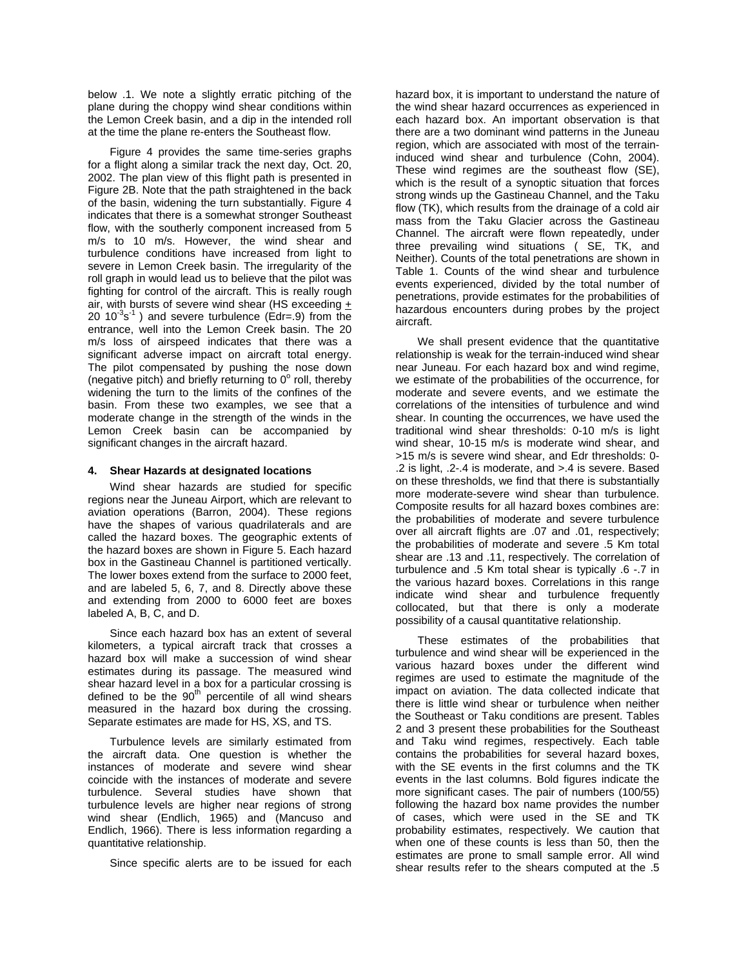below .1. We note a slightly erratic pitching of the plane during the choppy wind shear conditions within the Lemon Creek basin, and a dip in the intended roll at the time the plane re-enters the Southeast flow.

Figure 4 provides the same time-series graphs for a flight along a similar track the next day, Oct. 20, 2002. The plan view of this flight path is presented in Figure 2B. Note that the path straightened in the back of the basin, widening the turn substantially. Figure 4 indicates that there is a somewhat stronger Southeast flow, with the southerly component increased from 5 m/s to 10 m/s. However, the wind shear and turbulence conditions have increased from light to severe in Lemon Creek basin. The irregularity of the roll graph in would lead us to believe that the pilot was fighting for control of the aircraft. This is really rough air, with bursts of severe wind shear (HS exceeding + 20  $10^{-3}$ s<sup>-1</sup>) and severe turbulence (Edr=.9) from the entrance, well into the Lemon Creek basin. The 20 m/s loss of airspeed indicates that there was a significant adverse impact on aircraft total energy. The pilot compensated by pushing the nose down (negative pitch) and briefly returning to  $0^{\circ}$  roll, thereby widening the turn to the limits of the confines of the basin. From these two examples, we see that a moderate change in the strength of the winds in the Lemon Creek basin can be accompanied by significant changes in the aircraft hazard.

## **4. Shear Hazards at designated locations**

Wind shear hazards are studied for specific regions near the Juneau Airport, which are relevant to aviation operations (Barron, 2004). These regions have the shapes of various quadrilaterals and are called the hazard boxes. The geographic extents of the hazard boxes are shown in Figure 5. Each hazard box in the Gastineau Channel is partitioned vertically. The lower boxes extend from the surface to 2000 feet, and are labeled 5, 6, 7, and 8. Directly above these and extending from 2000 to 6000 feet are boxes labeled A, B, C, and D.

Since each hazard box has an extent of several kilometers, a typical aircraft track that crosses a hazard box will make a succession of wind shear estimates during its passage. The measured wind shear hazard level in a box for a particular crossing is defined to be the  $90<sup>th</sup>$  percentile of all wind shears measured in the hazard box during the crossing. Separate estimates are made for HS, XS, and TS.

Turbulence levels are similarly estimated from the aircraft data. One question is whether the instances of moderate and severe wind shear coincide with the instances of moderate and severe turbulence. Several studies have shown that turbulence levels are higher near regions of strong wind shear (Endlich, 1965) and (Mancuso and Endlich, 1966). There is less information regarding a quantitative relationship.

Since specific alerts are to be issued for each

hazard box, it is important to understand the nature of the wind shear hazard occurrences as experienced in each hazard box. An important observation is that there are a two dominant wind patterns in the Juneau region, which are associated with most of the terraininduced wind shear and turbulence (Cohn, 2004). These wind regimes are the southeast flow (SE), which is the result of a synoptic situation that forces strong winds up the Gastineau Channel, and the Taku flow (TK), which results from the drainage of a cold air mass from the Taku Glacier across the Gastineau Channel. The aircraft were flown repeatedly, under three prevailing wind situations ( SE, TK, and Neither). Counts of the total penetrations are shown in Table 1. Counts of the wind shear and turbulence events experienced, divided by the total number of penetrations, provide estimates for the probabilities of hazardous encounters during probes by the project aircraft.

We shall present evidence that the quantitative relationship is weak for the terrain-induced wind shear near Juneau. For each hazard box and wind regime, we estimate of the probabilities of the occurrence, for moderate and severe events, and we estimate the correlations of the intensities of turbulence and wind shear. In counting the occurrences, we have used the traditional wind shear thresholds: 0-10 m/s is light wind shear, 10-15 m/s is moderate wind shear, and >15 m/s is severe wind shear, and Edr thresholds: 0- .2 is light, .2-.4 is moderate, and >.4 is severe. Based on these thresholds, we find that there is substantially more moderate-severe wind shear than turbulence. Composite results for all hazard boxes combines are: the probabilities of moderate and severe turbulence over all aircraft flights are .07 and .01, respectively; the probabilities of moderate and severe .5 Km total shear are .13 and .11, respectively. The correlation of turbulence and .5 Km total shear is typically .6 -.7 in the various hazard boxes. Correlations in this range indicate wind shear and turbulence frequently collocated, but that there is only a moderate possibility of a causal quantitative relationship.

These estimates of the probabilities that turbulence and wind shear will be experienced in the various hazard boxes under the different wind regimes are used to estimate the magnitude of the impact on aviation. The data collected indicate that there is little wind shear or turbulence when neither the Southeast or Taku conditions are present. Tables 2 and 3 present these probabilities for the Southeast and Taku wind regimes, respectively. Each table contains the probabilities for several hazard boxes, with the SE events in the first columns and the TK events in the last columns. Bold figures indicate the more significant cases. The pair of numbers (100/55) following the hazard box name provides the number of cases, which were used in the SE and TK probability estimates, respectively. We caution that when one of these counts is less than 50, then the estimates are prone to small sample error. All wind shear results refer to the shears computed at the .5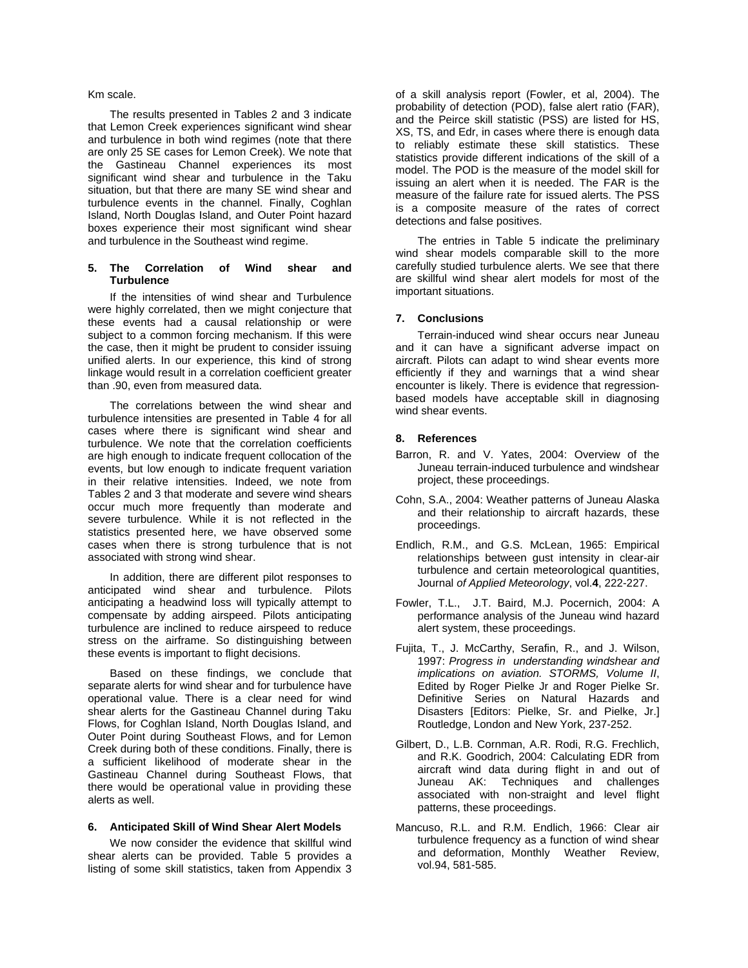#### Km scale.

The results presented in Tables 2 and 3 indicate that Lemon Creek experiences significant wind shear and turbulence in both wind regimes (note that there are only 25 SE cases for Lemon Creek). We note that the Gastineau Channel experiences its most significant wind shear and turbulence in the Taku situation, but that there are many SE wind shear and turbulence events in the channel. Finally, Coghlan Island, North Douglas Island, and Outer Point hazard boxes experience their most significant wind shear and turbulence in the Southeast wind regime.

#### **5. The Correlation of Wind shear and Turbulence**

If the intensities of wind shear and Turbulence were highly correlated, then we might conjecture that these events had a causal relationship or were subject to a common forcing mechanism. If this were the case, then it might be prudent to consider issuing unified alerts. In our experience, this kind of strong linkage would result in a correlation coefficient greater than .90, even from measured data.

The correlations between the wind shear and turbulence intensities are presented in Table 4 for all cases where there is significant wind shear and turbulence. We note that the correlation coefficients are high enough to indicate frequent collocation of the events, but low enough to indicate frequent variation in their relative intensities. Indeed, we note from Tables 2 and 3 that moderate and severe wind shears occur much more frequently than moderate and severe turbulence. While it is not reflected in the statistics presented here, we have observed some cases when there is strong turbulence that is not associated with strong wind shear.

In addition, there are different pilot responses to anticipated wind shear and turbulence. Pilots anticipating a headwind loss will typically attempt to compensate by adding airspeed. Pilots anticipating turbulence are inclined to reduce airspeed to reduce stress on the airframe. So distinguishing between these events is important to flight decisions.

Based on these findings, we conclude that separate alerts for wind shear and for turbulence have operational value. There is a clear need for wind shear alerts for the Gastineau Channel during Taku Flows, for Coghlan Island, North Douglas Island, and Outer Point during Southeast Flows, and for Lemon Creek during both of these conditions. Finally, there is a sufficient likelihood of moderate shear in the Gastineau Channel during Southeast Flows, that there would be operational value in providing these alerts as well.

# **6. Anticipated Skill of Wind Shear Alert Models**

We now consider the evidence that skillful wind shear alerts can be provided. Table 5 provides a listing of some skill statistics, taken from Appendix 3

of a skill analysis report (Fowler, et al, 2004). The probability of detection (POD), false alert ratio (FAR), and the Peirce skill statistic (PSS) are listed for HS, XS, TS, and Edr, in cases where there is enough data to reliably estimate these skill statistics. These statistics provide different indications of the skill of a model. The POD is the measure of the model skill for issuing an alert when it is needed. The FAR is the measure of the failure rate for issued alerts. The PSS is a composite measure of the rates of correct detections and false positives.

The entries in Table 5 indicate the preliminary wind shear models comparable skill to the more carefully studied turbulence alerts. We see that there are skillful wind shear alert models for most of the important situations.

## **7. Conclusions**

Terrain-induced wind shear occurs near Juneau and it can have a significant adverse impact on aircraft. Pilots can adapt to wind shear events more efficiently if they and warnings that a wind shear encounter is likely. There is evidence that regressionbased models have acceptable skill in diagnosing wind shear events.

#### **8. References**

- Barron, R. and V. Yates, 2004: Overview of the Juneau terrain-induced turbulence and windshear project, these proceedings.
- Cohn, S.A., 2004: Weather patterns of Juneau Alaska and their relationship to aircraft hazards, these proceedings.
- Endlich, R.M., and G.S. McLean, 1965: Empirical relationships between gust intensity in clear-air turbulence and certain meteorological quantities, Journal *of Applied Meteorology*, vol.**4**, 222-227.
- Fowler, T.L., J.T. Baird, M.J. Pocernich, 2004: A performance analysis of the Juneau wind hazard alert system, these proceedings.
- Fujita, T., J. McCarthy, Serafin, R., and J. Wilson, 1997: *Progress in understanding windshear and implications on aviation. STORMS, Volume II*, Edited by Roger Pielke Jr and Roger Pielke Sr. Definitive Series on Natural Hazards and Disasters [Editors: Pielke, Sr. and Pielke, Jr.] Routledge, London and New York, 237-252.
- Gilbert, D., L.B. Cornman, A.R. Rodi, R.G. Frechlich, and R.K. Goodrich, 2004: Calculating EDR from aircraft wind data during flight in and out of Juneau AK: Techniques and challenges associated with non-straight and level flight patterns, these proceedings.
- Mancuso, R.L. and R.M. Endlich, 1966: Clear air turbulence frequency as a function of wind shear and deformation, Monthly Weather Review, vol.94, 581-585.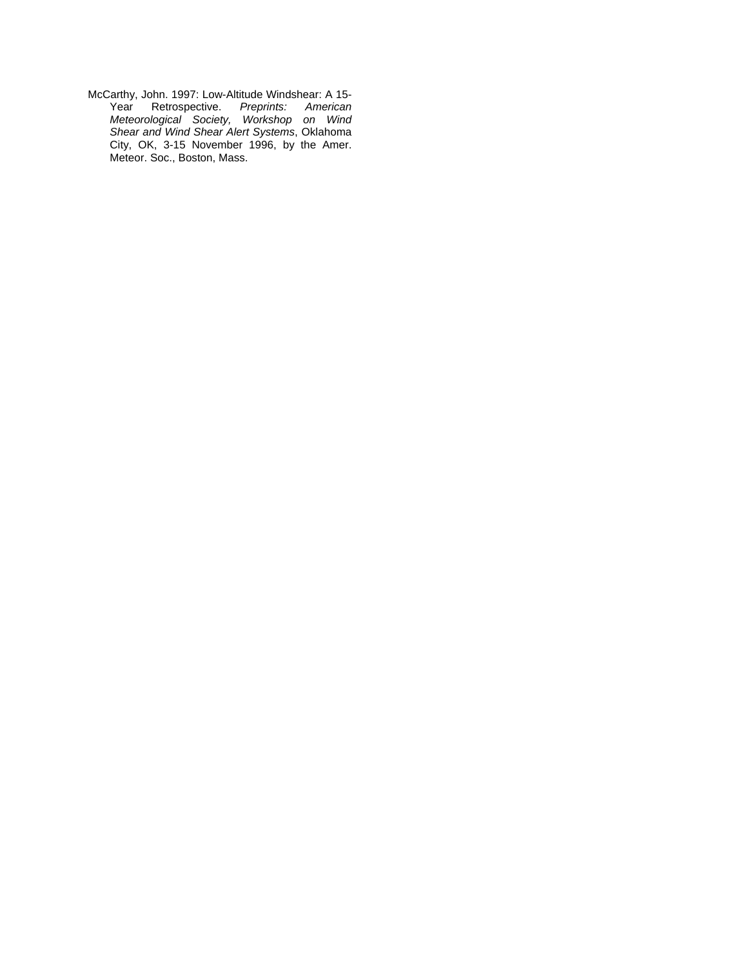McCarthy, John. 1997: Low-Altitude Windshear: A 15- Year Retrospective. *Preprints: American Meteorological Society, Workshop on Wind Shear and Wind Shear Alert Systems*, Oklahoma City, OK, 3-15 November 1996, by the Amer. Meteor. Soc., Boston, Mass.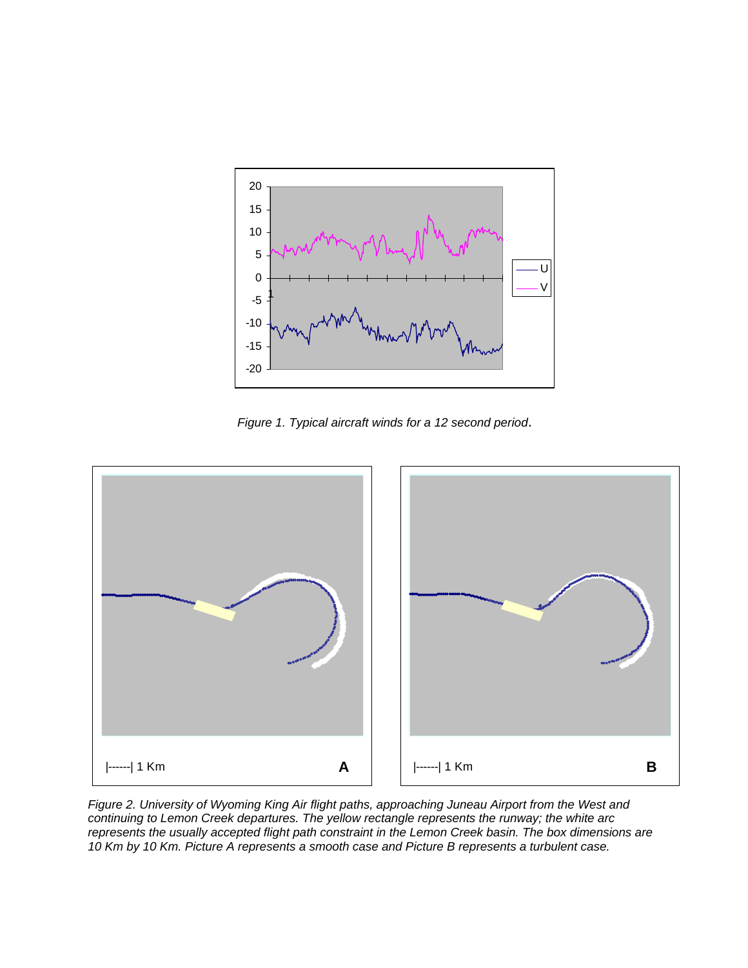

*Figure 1. Typical aircraft winds for a 12 second period*.



*Figure 2. University of Wyoming King Air flight paths, approaching Juneau Airport from the West and continuing to Lemon Creek departures. The yellow rectangle represents the runway; the white arc represents the usually accepted flight path constraint in the Lemon Creek basin. The box dimensions are 10 Km by 10 Km. Picture A represents a smooth case and Picture B represents a turbulent case.*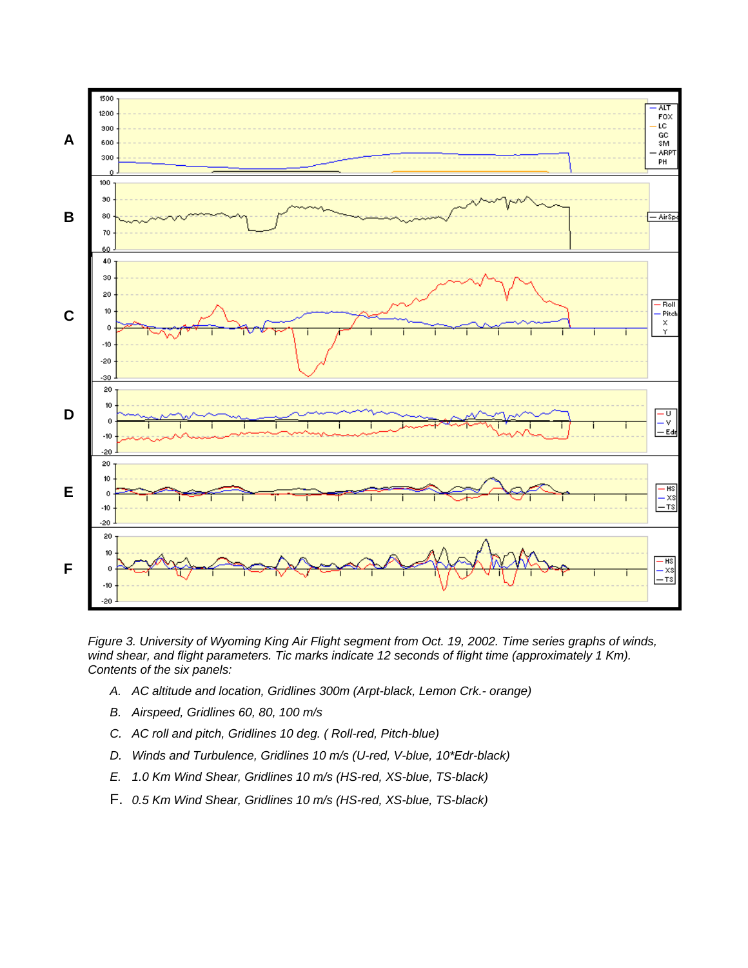

*Figure 3. University of Wyoming King Air Flight segment from Oct. 19, 2002. Time series graphs of winds,*  wind shear, and flight parameters. Tic marks indicate 12 seconds of flight time (approximately 1 Km). *Contents of the six panels:* 

- *A. AC altitude and location, Gridlines 300m (Arpt-black, Lemon Crk.- orange)*
- *B. Airspeed, Gridlines 60, 80, 100 m/s*
- *C. AC roll and pitch, Gridlines 10 deg. ( Roll-red, Pitch-blue)*
- D. Winds and Turbulence, Gridlines 10 m/s (U-red, V-blue, 10\*Edr-black)
- *E. 1.0 Km Wind Shear, Gridlines 10 m/s (HS-red, XS-blue, TS-black)*
- F. *0.5 Km Wind Shear, Gridlines 10 m/s (HS-red, XS-blue, TS-black)*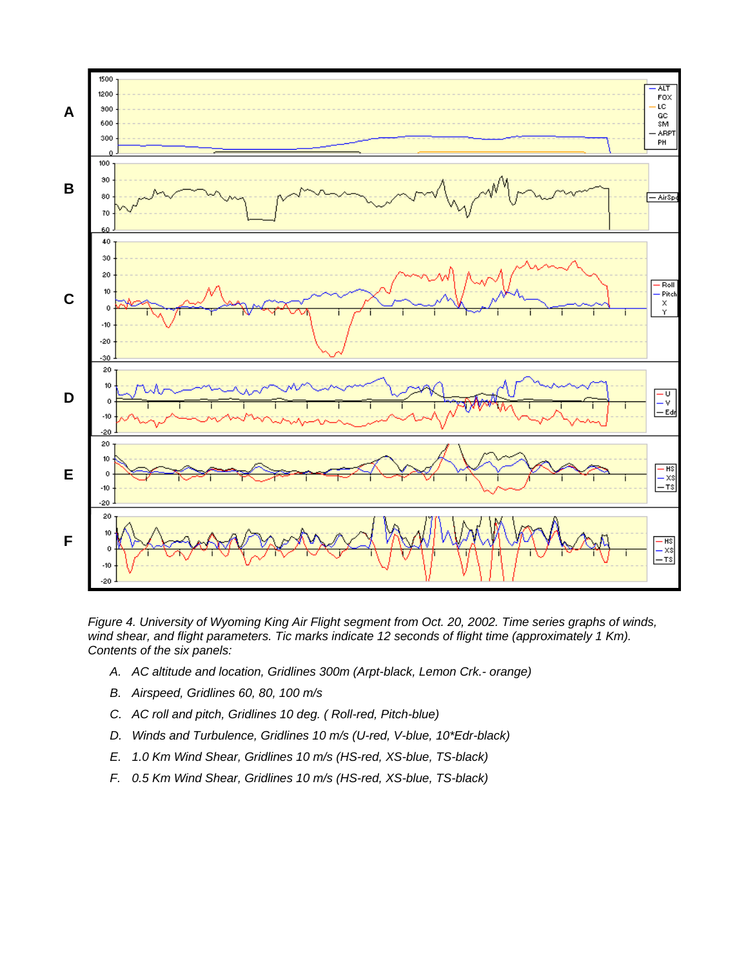

*Figure 4. University of Wyoming King Air Flight segment from Oct. 20, 2002. Time series graphs of winds, wind shear, and flight parameters. Tic marks indicate 12 seconds of flight time (approximately 1 Km). Contents of the six panels:* 

- *A. AC altitude and location, Gridlines 300m (Arpt-black, Lemon Crk.- orange)*
- *B. Airspeed, Gridlines 60, 80, 100 m/s*
- *C. AC roll and pitch, Gridlines 10 deg. ( Roll-red, Pitch-blue)*
- D. Winds and Turbulence, Gridlines 10 m/s (U-red, V-blue, 10\*Edr-black)
- *E. 1.0 Km Wind Shear, Gridlines 10 m/s (HS-red, XS-blue, TS-black)*
- *F. 0.5 Km Wind Shear, Gridlines 10 m/s (HS-red, XS-blue, TS-black)*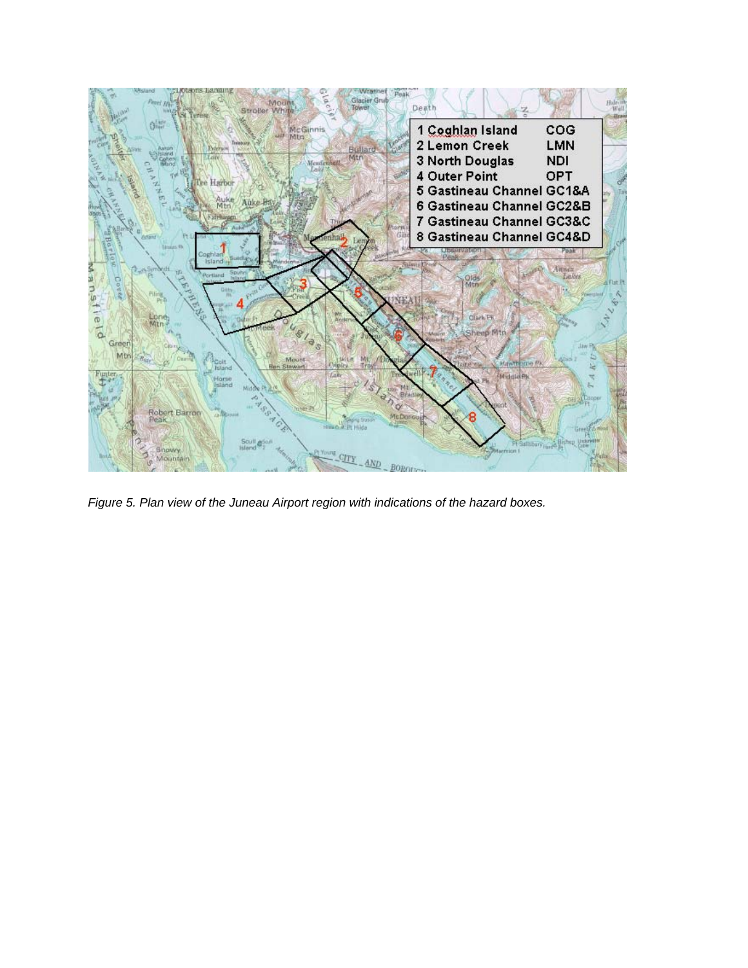

*Figure 5. Plan view of the Juneau Airport region with indications of the hazard boxes.*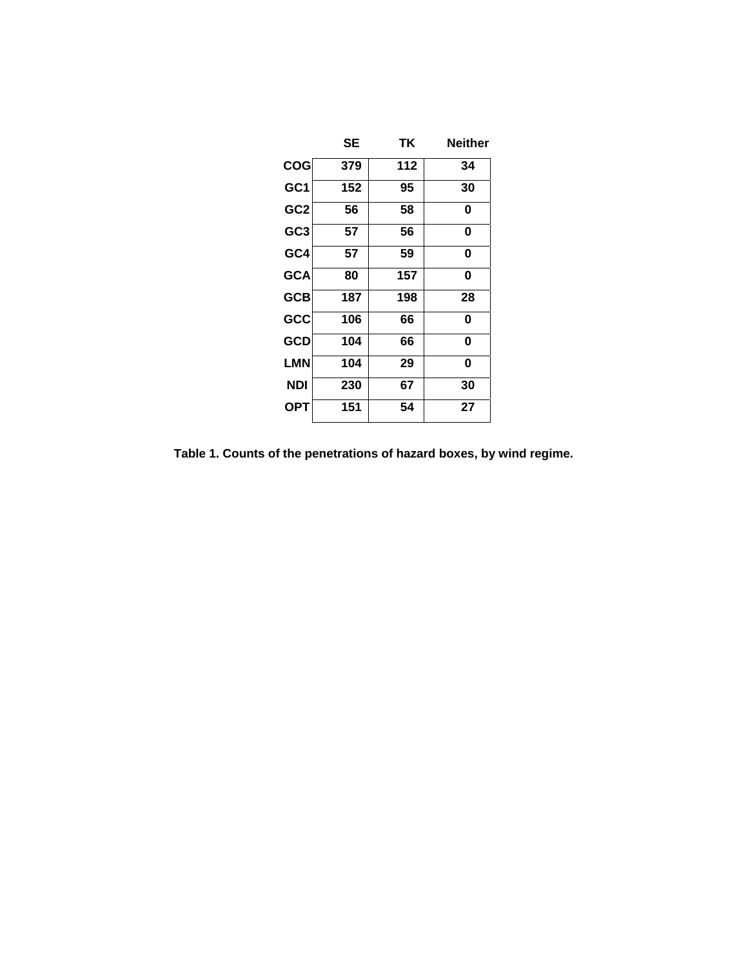|                 | <b>SE</b> | ΤK  | <b>Neither</b> |
|-----------------|-----------|-----|----------------|
| <b>COG</b>      | 379       | 112 | 34             |
| GC <sub>1</sub> | 152       | 95  | 30             |
| GC <sub>2</sub> | 56        | 58  | 0              |
| GC <sub>3</sub> | 57        | 56  | 0              |
| GC4             | 57        | 59  | 0              |
| <b>GCA</b>      | 80        | 157 | 0              |
| <b>GCB</b>      | 187       | 198 | 28             |
| GCC             | 106       | 66  | 0              |
| <b>GCD</b>      | 104       | 66  | 0              |
| <b>LMN</b>      | 104       | 29  | 0              |
| <b>NDI</b>      | 230       | 67  | 30             |
| <b>OPT</b>      | 151       | 54  | 27             |

**Table 1. Counts of the penetrations of hazard boxes, by wind regime.**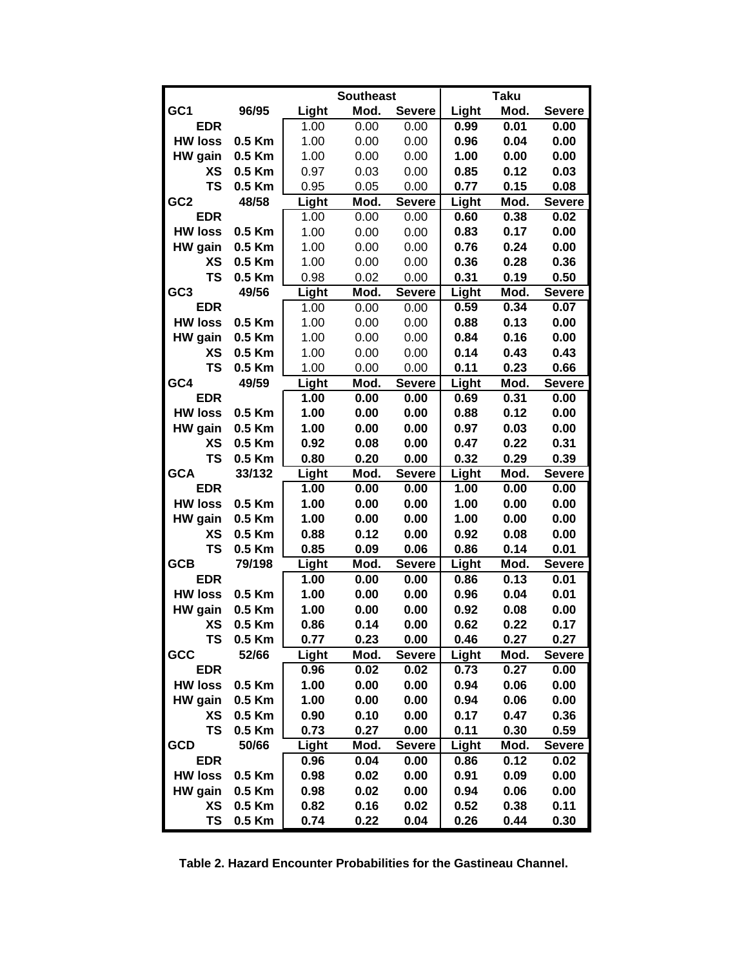|                 |        | <b>Southeast</b> |      | <b>Taku</b>   |       |      |               |
|-----------------|--------|------------------|------|---------------|-------|------|---------------|
| GC <sub>1</sub> | 96/95  | Light            | Mod. | <b>Severe</b> | Light | Mod. | <b>Severe</b> |
| <b>EDR</b>      |        | 1.00             | 0.00 | 0.00          | 0.99  | 0.01 | 0.00          |
| <b>HW loss</b>  | 0.5 Km | 1.00             | 0.00 | 0.00          | 0.96  | 0.04 | 0.00          |
| HW gain         | 0.5 Km | 1.00             | 0.00 | 0.00          | 1.00  | 0.00 | 0.00          |
| ХS              | 0.5 Km | 0.97             | 0.03 | 0.00          | 0.85  | 0.12 | 0.03          |
| <b>TS</b>       | 0.5 Km | 0.95             | 0.05 | 0.00          | 0.77  | 0.15 | 0.08          |
| GC <sub>2</sub> | 48/58  | Light            | Mod. | <b>Severe</b> | Light | Mod. | <b>Severe</b> |
| <b>EDR</b>      |        | 1.00             | 0.00 | 0.00          | 0.60  | 0.38 | 0.02          |
| <b>HW loss</b>  | 0.5 Km | 1.00             | 0.00 | 0.00          | 0.83  | 0.17 | 0.00          |
| HW gain         | 0.5 Km | 1.00             | 0.00 | 0.00          | 0.76  | 0.24 | 0.00          |
| ХS              | 0.5 Km | 1.00             | 0.00 | 0.00          | 0.36  | 0.28 | 0.36          |
| <b>TS</b>       | 0.5 Km | 0.98             | 0.02 | 0.00          | 0.31  | 0.19 | 0.50          |
| GC <sub>3</sub> | 49/56  | Light            | Mod. | <b>Severe</b> | Light | Mod. | <b>Severe</b> |
| <b>EDR</b>      |        | 1.00             | 0.00 | 0.00          | 0.59  | 0.34 | 0.07          |
| <b>HW loss</b>  | 0.5 Km | 1.00             | 0.00 | 0.00          | 0.88  | 0.13 | 0.00          |
| HW gain         | 0.5 Km | 1.00             | 0.00 | 0.00          | 0.84  | 0.16 | 0.00          |
| ХS              | 0.5 Km | 1.00             | 0.00 | 0.00          | 0.14  | 0.43 | 0.43          |
| <b>TS</b>       | 0.5 Km | 1.00             | 0.00 | 0.00          | 0.11  | 0.23 | 0.66          |
| GC4             | 49/59  | Light            | Mod. | <b>Severe</b> | Light | Mod. | <b>Severe</b> |
| <b>EDR</b>      |        | 1.00             | 0.00 | 0.00          | 0.69  | 0.31 | 0.00          |
| <b>HW loss</b>  | 0.5 Km | 1.00             | 0.00 | 0.00          | 0.88  | 0.12 | 0.00          |
| HW gain         | 0.5 Km | 1.00             | 0.00 | 0.00          | 0.97  | 0.03 | 0.00          |
| ХS              | 0.5 Km | 0.92             | 0.08 | 0.00          | 0.47  | 0.22 | 0.31          |
| <b>TS</b>       | 0.5 Km | 0.80             | 0.20 | 0.00          | 0.32  | 0.29 | 0.39          |
| <b>GCA</b>      | 33/132 | Light            | Mod. | <b>Severe</b> | Light | Mod. | <b>Severe</b> |
| <b>EDR</b>      |        | 1.00             | 0.00 | 0.00          | 1.00  | 0.00 | 0.00          |
| <b>HW loss</b>  | 0.5 Km | 1.00             | 0.00 | 0.00          | 1.00  | 0.00 | 0.00          |
| HW gain         | 0.5 Km | 1.00             | 0.00 | 0.00          | 1.00  | 0.00 | 0.00          |
| ХS              | 0.5 Km | 0.88             | 0.12 | 0.00          | 0.92  | 0.08 | 0.00          |
| <b>TS</b>       | 0.5 Km | 0.85             | 0.09 | 0.06          | 0.86  | 0.14 | 0.01          |
| <b>GCB</b>      | 79/198 | Light            | Mod. | <b>Severe</b> | Light | Mod. | <b>Severe</b> |
| <b>EDR</b>      |        | 1.00             | 0.00 | 0.00          | 0.86  | 0.13 | 0.01          |
| <b>HW loss</b>  | 0.5 Km | 1.00             | 0.00 | 0.00          | 0.96  | 0.04 | 0.01          |
| HW gain         | 0.5 Km | 1.00             | 0.00 | 0.00          | 0.92  | 0.08 | 0.00          |
| ХS              | 0.5 Km | 0.86             | 0.14 | 0.00          | 0.62  | 0.22 | 0.17          |
| ΤS              | 0.5 Km | 0.77             | 0.23 | 0.00          | 0.46  | 0.27 | 0.27          |
| GCC             | 52/66  | Light            | Mod. | <b>Severe</b> | Light | Mod. | <b>Severe</b> |
| <b>EDR</b>      |        | 0.96             | 0.02 | 0.02          | 0.73  | 0.27 | 0.00          |
| <b>HW loss</b>  | 0.5 Km | 1.00             | 0.00 | 0.00          | 0.94  | 0.06 | 0.00          |
| HW gain         | 0.5 Km | 1.00             | 0.00 | 0.00          | 0.94  | 0.06 | 0.00          |
| XS              | 0.5 Km | 0.90             | 0.10 | 0.00          | 0.17  | 0.47 | 0.36          |
| <b>TS</b>       | 0.5 Km | 0.73             | 0.27 | 0.00          | 0.11  | 0.30 | 0.59          |
| <b>GCD</b>      | 50/66  | Light            | Mod. | <b>Severe</b> | Light | Mod. | <b>Severe</b> |
| <b>EDR</b>      |        | 0.96             | 0.04 | 0.00          | 0.86  | 0.12 | 0.02          |
| <b>HW loss</b>  | 0.5 Km | 0.98             | 0.02 | 0.00          | 0.91  | 0.09 | 0.00          |
| HW gain         | 0.5 Km | 0.98             | 0.02 | 0.00          | 0.94  | 0.06 | 0.00          |
| XS              | 0.5 Km | 0.82             | 0.16 | 0.02          | 0.52  | 0.38 | 0.11          |
| <b>TS</b>       | 0.5 Km | 0.74             | 0.22 | 0.04          | 0.26  | 0.44 | 0.30          |

**Table 2. Hazard Encounter Probabilities for the Gastineau Channel.**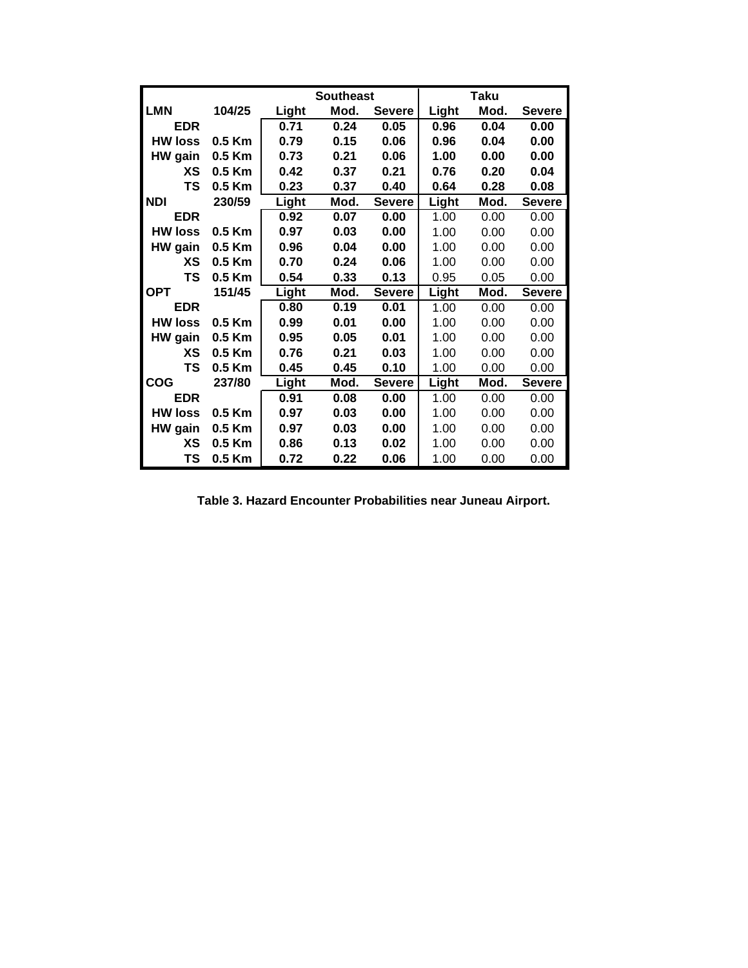|                |          | <b>Southeast</b> |      | Taku          |              |      |               |
|----------------|----------|------------------|------|---------------|--------------|------|---------------|
| <b>LMN</b>     | 104/25   | Light            | Mod. | <b>Severe</b> | Light        | Mod. | <b>Severe</b> |
| <b>EDR</b>     |          | 0.71             | 0.24 | 0.05          | 0.96         | 0.04 | 0.00          |
| <b>HW loss</b> | 0.5 Km   | 0.79             | 0.15 | 0.06          | 0.96         | 0.04 | 0.00          |
| HW gain        | 0.5 Km   | 0.73             | 0.21 | 0.06          | 1.00         | 0.00 | 0.00          |
| XS             | $0.5$ Km | 0.42             | 0.37 | 0.21          | 0.76         | 0.20 | 0.04          |
| <b>TS</b>      | $0.5$ Km | 0.23             | 0.37 | 0.40          | 0.64         | 0.28 | 0.08          |
| <b>NDI</b>     | 230/59   | Light            | Mod. | <b>Severe</b> | Light        | Mod. | <b>Severe</b> |
| <b>EDR</b>     |          | 0.92             | 0.07 | 0.00          | 1.00         | 0.00 | 0.00          |
| <b>HW loss</b> | 0.5 Km   | 0.97             | 0.03 | 0.00          | 1.00         | 0.00 | 0.00          |
| HW gain        | 0.5 Km   | 0.96             | 0.04 | 0.00          | 1.00         | 0.00 | 0.00          |
| ХS             | $0.5$ Km | 0.70             | 0.24 | 0.06          | 1.00         | 0.00 | 0.00          |
| TS             | 0.5 Km   | 0.54             | 0.33 | 0.13          | 0.95         | 0.05 | 0.00          |
| OPT            | 151/45   | Light            | Mod. | <b>Severe</b> | Light        | Mod. | <b>Severe</b> |
| <b>EDR</b>     |          | 0.80             | 0.19 | 0.01          | 1.00         | 0.00 | 0.00          |
| <b>HW loss</b> | 0.5 Km   | 0.99             | 0.01 | 0.00          | 1.00         | 0.00 | 0.00          |
| HW gain        | 0.5 Km   | 0.95             | 0.05 | 0.01          | 1.00         | 0.00 | 0.00          |
| ХS             | 0.5 Km   | 0.76             | 0.21 | 0.03          | 1.00         | 0.00 | 0.00          |
| ΤS             | 0.5 Km   | 0.45             | 0.45 | 0.10          | 1.00         | 0.00 | 0.00          |
| <b>COG</b>     | 237/80   | Light            | Mod. | <b>Severe</b> | <b>Light</b> | Mod. | <b>Severe</b> |
| <b>EDR</b>     |          | 0.91             | 0.08 | 0.00          | 1.00         | 0.00 | 0.00          |
| <b>HW loss</b> | $0.5$ Km | 0.97             | 0.03 | 0.00          | 1.00         | 0.00 | 0.00          |
| HW gain        | 0.5 Km   | 0.97             | 0.03 | 0.00          | 1.00         | 0.00 | 0.00          |
| ХS             | $0.5$ Km | 0.86             | 0.13 | 0.02          | 1.00         | 0.00 | 0.00          |
| TS             | 0.5 Km   | 0.72             | 0.22 | 0.06          | 1.00         | 0.00 | 0.00          |

**Table 3. Hazard Encounter Probabilities near Juneau Airport.**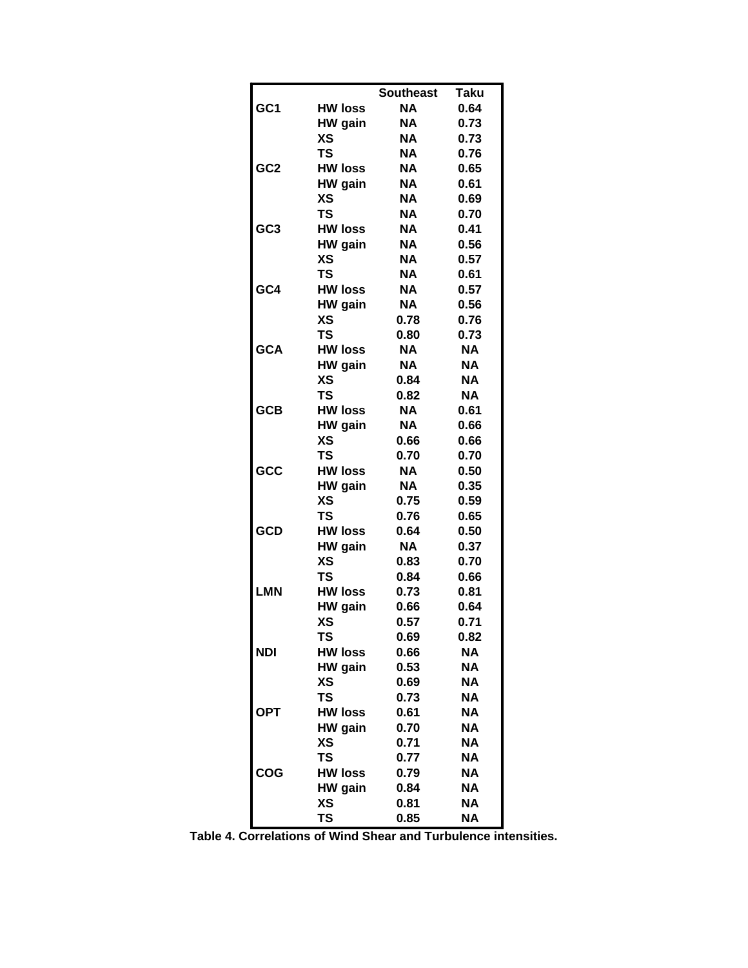|                 |                | <b>Southeast</b> | <b>Taku</b> |
|-----------------|----------------|------------------|-------------|
| GC <sub>1</sub> | <b>HW loss</b> | <b>NA</b>        | 0.64        |
|                 | HW gain        | NA.              | 0.73        |
|                 | ХS             | <b>NA</b>        | 0.73        |
|                 | <b>TS</b>      | <b>NA</b>        | 0.76        |
| GC <sub>2</sub> | <b>HW loss</b> | NA               | 0.65        |
|                 | HW gain        | NA               | 0.61        |
|                 | <b>XS</b>      | <b>NA</b>        | 0.69        |
|                 | <b>TS</b>      | <b>NA</b>        | 0.70        |
| GC <sub>3</sub> | <b>HW loss</b> | NA               | 0.41        |
|                 | HW gain        | <b>NA</b>        | 0.56        |
|                 | <b>XS</b>      | <b>NA</b>        | 0.57        |
|                 | <b>TS</b>      | <b>NA</b>        | 0.61        |
| GC4             | <b>HW loss</b> | <b>NA</b>        | 0.57        |
|                 | HW gain        | <b>NA</b>        | 0.56        |
|                 | XS             | 0.78             | 0.76        |
|                 | <b>TS</b>      | 0.80             | 0.73        |
| <b>GCA</b>      | <b>HW loss</b> | <b>NA</b>        | <b>NA</b>   |
|                 | HW gain        | <b>NA</b>        | <b>NA</b>   |
|                 | ХS             | 0.84             | <b>NA</b>   |
|                 | <b>TS</b>      | 0.82             | <b>NA</b>   |
| <b>GCB</b>      | <b>HW loss</b> | <b>NA</b>        | 0.61        |
|                 | HW gain        | <b>NA</b>        | 0.66        |
|                 | ХS             | 0.66             | 0.66        |
|                 | <b>TS</b>      | 0.70             | 0.70        |
| GCC             | <b>HW loss</b> | NA.              | 0.50        |
|                 | HW gain        | <b>NA</b>        | 0.35        |
|                 | ХS             | 0.75             | 0.59        |
|                 | <b>TS</b>      | 0.76             | 0.65        |
| <b>GCD</b>      | <b>HW loss</b> | 0.64             | 0.50        |
|                 | HW gain        | NA               | 0.37        |
|                 | ХS             | 0.83             | 0.70        |
|                 | <b>TS</b>      | 0.84             | 0.66        |
| <b>LMN</b>      | <b>HW loss</b> | 0.73             | 0.81        |
|                 | HW gain        | 0.66             | 0.64        |
|                 | XS             | 0.57             | 0.71        |
|                 | TS             | 0.69             | 0.82        |
| <b>NDI</b>      | <b>HW loss</b> | 0.66             | <b>NA</b>   |
|                 | HW gain        | 0.53             | ΝA          |
|                 | XS             | 0.69             | ΝA          |
|                 | <b>TS</b>      | 0.73             | <b>NA</b>   |
| <b>OPT</b>      | <b>HW loss</b> | 0.61             | ΝA          |
|                 | HW gain        | 0.70             | ΝA          |
|                 | XS             | 0.71             | ΝA          |
|                 | <b>TS</b>      | 0.77             | ΝA          |
| <b>COG</b>      | <b>HW loss</b> | 0.79             | <b>NA</b>   |
|                 | HW gain        | 0.84             | ΝA          |
|                 | ХS             | 0.81             | ΝA          |
|                 | <b>TS</b>      | 0.85             | ΝA          |

**Table 4. Correlations of Wind Shear and Turbulence intensities.**